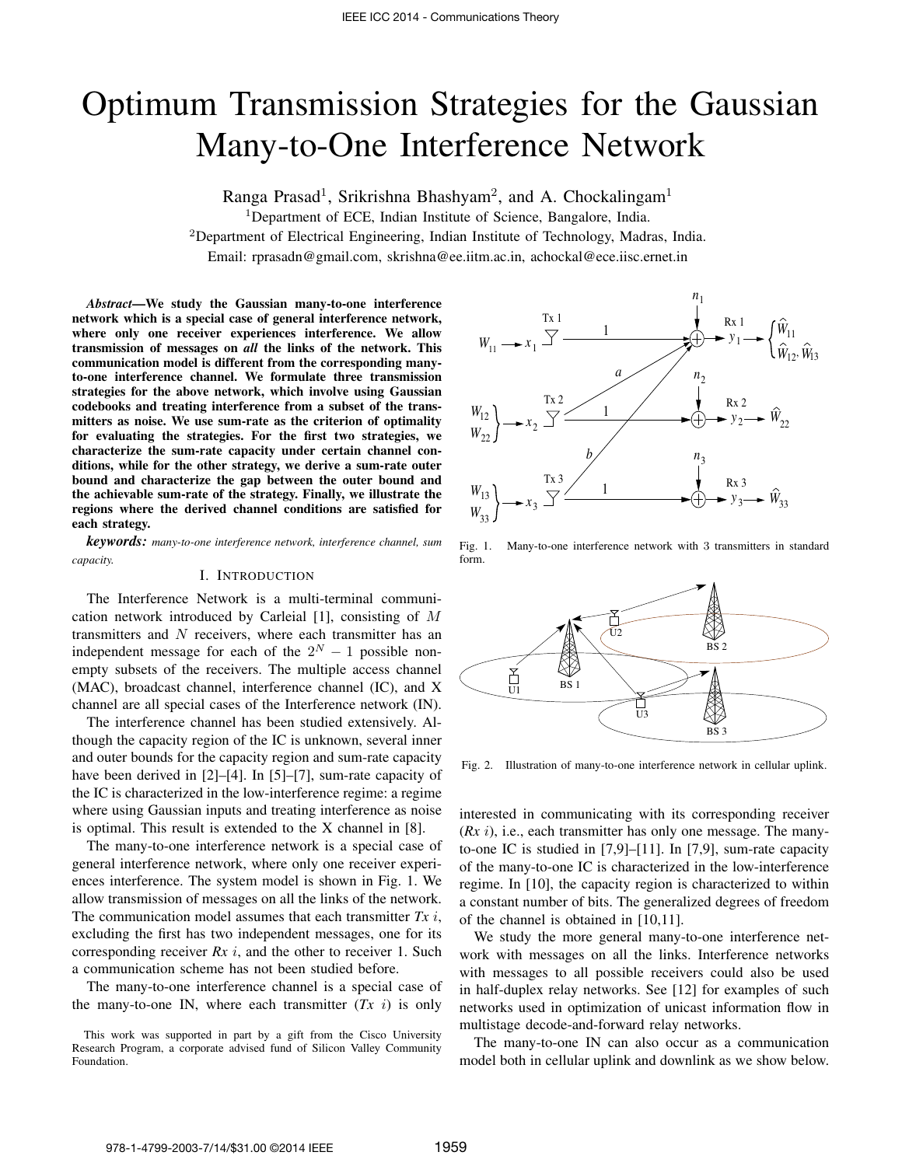# Optimum Transmission Strategies for the Gaussian Many-to-One Interference Network

Ranga Prasad<sup>1</sup>, Srikrishna Bhashyam<sup>2</sup>, and A. Chockalingam<sup>1</sup>

<sup>1</sup>Department of ECE, Indian Institute of Science, Bangalore, India.

<sup>2</sup>Department of Electrical Engineering, Indian Institute of Technology, Madras, India.

Email: rprasadn@gmail.com, skrishna@ee.iitm.ac.in, achockal@ece.iisc.ernet.in

*Abstract*—We study the Gaussian many-to-one interference network which is a special case of general interference network, where only one receiver experiences interference. We allow transmission of messages on *all* the links of the network. This communication model is different from the corresponding manyto-one interference channel. We formulate three transmission strategies for the above network, which involve using Gaussian codebooks and treating interference from a subset of the transmitters as noise. We use sum-rate as the criterion of optimality for evaluating the strategies. For the first two strategies, we characterize the sum-rate capacity under certain channel conditions, while for the other strategy, we derive a sum-rate outer bound and characterize the gap between the outer bound and the achievable sum-rate of the strategy. Finally, we illustrate the regions where the derived channel conditions are satisfied for each strategy.

*keywords: many-to-one interference network, interference channel, sum capacity.*

## I. INTRODUCTION

The Interference Network is a multi-terminal communication network introduced by Carleial [1], consisting of M transmitters and  $N$  receivers, where each transmitter has an independent message for each of the  $2^N - 1$  possible nonempty subsets of the receivers. The multiple access channel (MAC), broadcast channel, interference channel (IC), and X channel are all special cases of the Interference network (IN).

The interference channel has been studied extensively. Although the capacity region of the IC is unknown, several inner and outer bounds for the capacity region and sum-rate capacity have been derived in [2]–[4]. In [5]–[7], sum-rate capacity of the IC is characterized in the low-interference regime: a regime where using Gaussian inputs and treating interference as noise is optimal. This result is extended to the X channel in [8].

The many-to-one interference network is a special case of general interference network, where only one receiver experiences interference. The system model is shown in Fig. 1. We allow transmission of messages on all the links of the network. The communication model assumes that each transmitter *Tx* i, excluding the first has two independent messages, one for its corresponding receiver *Rx* i, and the other to receiver 1. Such a communication scheme has not been studied before.

The many-to-one interference channel is a special case of the many-to-one IN, where each transmitter  $(Tx \ i)$  is only



Fig. 1. Many-to-one interference network with 3 transmitters in standard form.



Fig. 2. Illustration of many-to-one interference network in cellular uplink.

interested in communicating with its corresponding receiver (*Rx* i), i.e., each transmitter has only one message. The manyto-one IC is studied in [7,9]–[11]. In [7,9], sum-rate capacity of the many-to-one IC is characterized in the low-interference regime. In [10], the capacity region is characterized to within a constant number of bits. The generalized degrees of freedom of the channel is obtained in [10,11].

We study the more general many-to-one interference network with messages on all the links. Interference networks with messages to all possible receivers could also be used in half-duplex relay networks. See [12] for examples of such networks used in optimization of unicast information flow in multistage decode-and-forward relay networks.

The many-to-one IN can also occur as a communication model both in cellular uplink and downlink as we show below.

This work was supported in part by a gift from the Cisco University Research Program, a corporate advised fund of Silicon Valley Community Foundation.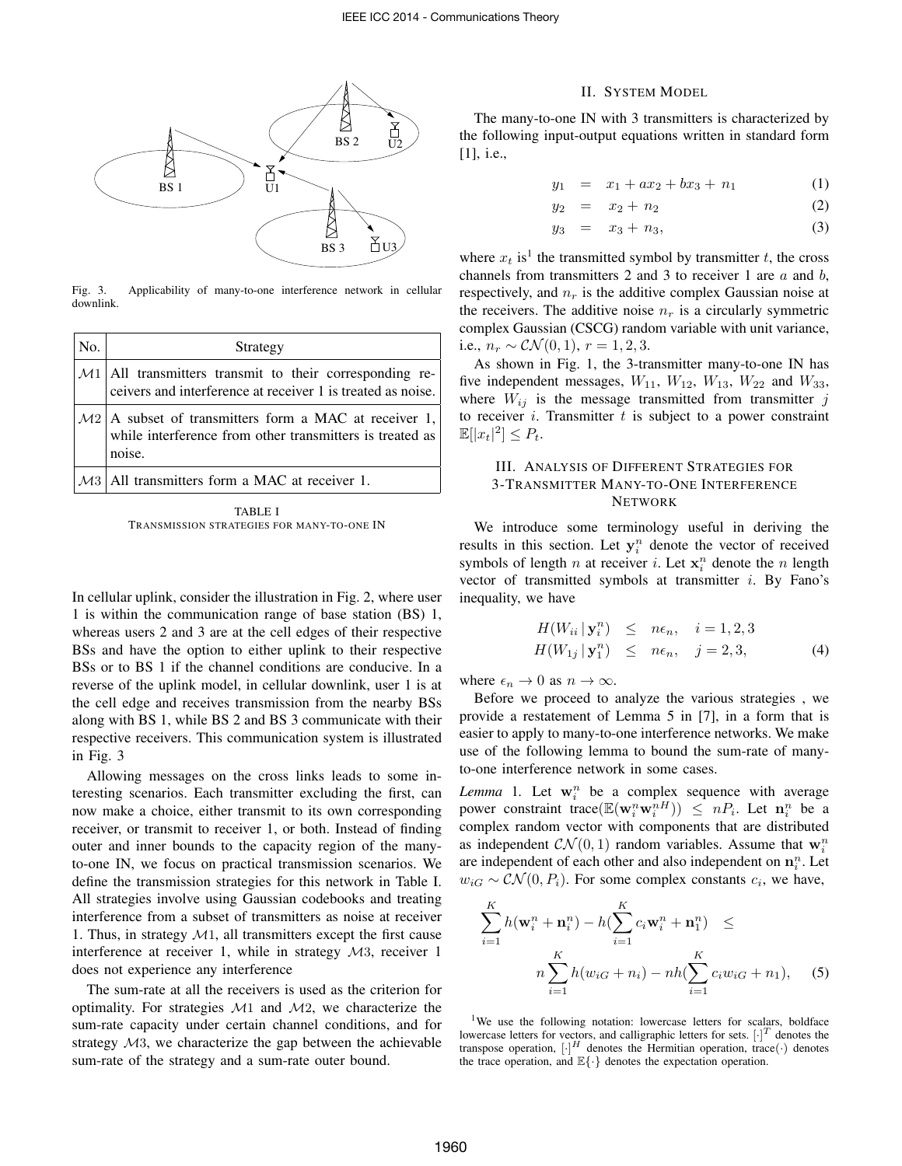

Fig. 3. Applicability of many-to-one interference network in cellular downlink.

| No. | Strategy                                                                                                                      |  |
|-----|-------------------------------------------------------------------------------------------------------------------------------|--|
|     | $M1$ All transmitters transmit to their corresponding re-<br>ceivers and interference at receiver 1 is treated as noise.      |  |
|     | $M2$ A subset of transmitters form a MAC at receiver 1,<br>while interference from other transmitters is treated as<br>noise. |  |
|     | $\mathcal{M}3$   All transmitters form a MAC at receiver 1.                                                                   |  |

TABLE I TRANSMISSION STRATEGIES FOR MANY-TO-ONE IN

In cellular uplink, consider the illustration in Fig. 2, where user 1 is within the communication range of base station (BS) 1, whereas users 2 and 3 are at the cell edges of their respective BSs and have the option to either uplink to their respective BSs or to BS 1 if the channel conditions are conducive. In a reverse of the uplink model, in cellular downlink, user 1 is at the cell edge and receives transmission from the nearby BSs along with BS 1, while BS 2 and BS 3 communicate with their respective receivers. This communication system is illustrated in Fig. 3

Allowing messages on the cross links leads to some interesting scenarios. Each transmitter excluding the first, can now make a choice, either transmit to its own corresponding receiver, or transmit to receiver 1, or both. Instead of finding outer and inner bounds to the capacity region of the manyto-one IN, we focus on practical transmission scenarios. We define the transmission strategies for this network in Table I. All strategies involve using Gaussian codebooks and treating interference from a subset of transmitters as noise at receiver 1. Thus, in strategy  $M_1$ , all transmitters except the first cause interference at receiver 1, while in strategy M3, receiver 1 does not experience any interference

The sum-rate at all the receivers is used as the criterion for optimality. For strategies  $M1$  and  $M2$ , we characterize the sum-rate capacity under certain channel conditions, and for strategy M3, we characterize the gap between the achievable sum-rate of the strategy and a sum-rate outer bound.

#### II. SYSTEM MODEL

The many-to-one IN with 3 transmitters is characterized by the following input-output equations written in standard form [1], i.e.,

$$
y_1 = x_1 + ax_2 + bx_3 + n_1 \tag{1}
$$

$$
y_2 = x_2 + n_2 \tag{2}
$$

$$
y_3 = x_3 + n_3, \t\t(3)
$$

where  $x_t$  is<sup>1</sup> the transmitted symbol by transmitter t, the cross channels from transmitters 2 and 3 to receiver 1 are  $a$  and  $b$ , respectively, and  $n_r$  is the additive complex Gaussian noise at the receivers. The additive noise  $n_r$  is a circularly symmetric complex Gaussian (CSCG) random variable with unit variance, i.e.,  $n_r \sim \mathcal{CN}(0, 1), r = 1, 2, 3.$ 

As shown in Fig. 1, the 3-transmitter many-to-one IN has five independent messages,  $W_{11}$ ,  $W_{12}$ ,  $W_{13}$ ,  $W_{22}$  and  $W_{33}$ , where  $W_{ij}$  is the message transmitted from transmitter j to receiver  $i$ . Transmitter  $t$  is subject to a power constraint  $\mathbb{E}[|x_t|^2] \leq P_t.$ 

## III. ANALYSIS OF DIFFERENT STRATEGIES FOR 3-TRANSMITTER MANY-TO-ONE INTERFERENCE NETWORK

We introduce some terminology useful in deriving the results in this section. Let  $y_i^n$  denote the vector of received symbols of length *n* at receiver *i*. Let  $\mathbf{x}_i^n$  denote the *n* length vector of transmitted symbols at transmitter  $i$ . By Fano's inequality, we have

$$
H(W_{ii} | \mathbf{y}_i^n) \leq n\epsilon_n, \quad i = 1, 2, 3
$$
  

$$
H(W_{1j} | \mathbf{y}_1^n) \leq n\epsilon_n, \quad j = 2, 3,
$$
 (4)

where  $\epsilon_n \to 0$  as  $n \to \infty$ .

Before we proceed to analyze the various strategies , we provide a restatement of Lemma 5 in [7], in a form that is easier to apply to many-to-one interference networks. We make use of the following lemma to bound the sum-rate of manyto-one interference network in some cases.

*Lemma* 1. Let  $w_i^n$  be a complex sequence with average power constraint trace  $(\mathbb{E}(\mathbf{w}_i^n \mathbf{w}_i^{nH})) \leq nP_i$ . Let  $\mathbf{n}_i^n$  be a complex random vector with components that are distributed as independent  $CN(0, 1)$  random variables. Assume that  $\mathbf{w}_i^n$ are independent of each other and also independent on  $n_i^n$ . Let  $w_{iG} \sim \mathcal{CN}(0, P_i)$ . For some complex constants  $c_i$ , we have,

$$
\sum_{i=1}^{K} h(\mathbf{w}_i^n + \mathbf{n}_i^n) - h(\sum_{i=1}^{K} c_i \mathbf{w}_i^n + \mathbf{n}_1^n) \le
$$
  

$$
n \sum_{i=1}^{K} h(w_{iG} + n_i) - nh(\sum_{i=1}^{K} c_i w_{iG} + n_1), \quad (5)
$$

<sup>1</sup>We use the following notation: lowercase letters for scalars, boldface lowercase letters for vectors, and calligraphic letters for sets.  $[\cdot]^{T}$  denotes the transpose operation,  $[\cdot]^H$  denotes the Hermitian operation, trace( $\cdot$ ) denotes the trace operation, and  $\mathbb{E}\{\cdot\}$  denotes the expectation operation.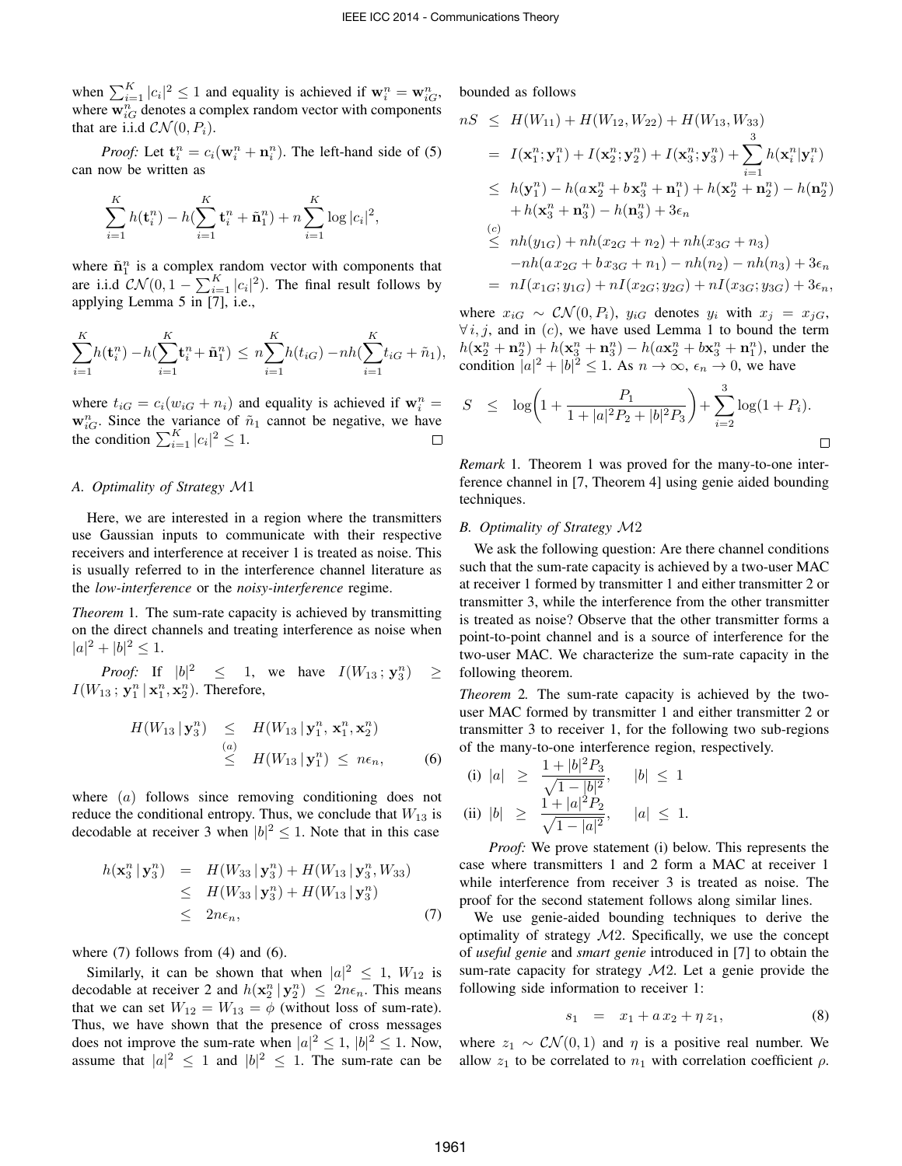when  $\sum_{i=1}^{K} |c_i|^2 \leq 1$  and equality is achieved if  $\mathbf{w}_i^n = \mathbf{w}_{iG}^n$ , where  $\mathbf{w}_{iG}^n$  denotes a complex random vector with components that are i.i.d  $\mathcal{CN}(0, P_i)$ .

*Proof:* Let  $\mathbf{t}_i^n = c_i(\mathbf{w}_i^n + \mathbf{n}_i^n)$ . The left-hand side of (5) can now be written as

$$
\sum_{i=1}^{K} h(\mathbf{t}_{i}^{n}) - h(\sum_{i=1}^{K} \mathbf{t}_{i}^{n} + \tilde{\mathbf{n}}_{1}^{n}) + n \sum_{i=1}^{K} \log |c_{i}|^{2},
$$

where  $\tilde{\mathbf{n}}_1^n$  is a complex random vector with components that are i.i.d  $CN(0, 1 - \sum_{i=1}^{K} |c_i|^2)$ . The final result follows by applying Lemma 5 in [7], i.e.,

$$
\sum_{i=1}^{K} h(\mathbf{t}_i^n) - h(\sum_{i=1}^{K} \mathbf{t}_i^n + \tilde{\mathbf{n}}_1^n) \le n \sum_{i=1}^{K} h(t_{iG}) - nh(\sum_{i=1}^{K} t_{iG} + \tilde{n}_1),
$$

where  $t_{iG} = c_i(w_{iG} + n_i)$  and equality is achieved if  $\mathbf{w}_i^n =$  $\mathbf{w}_{iG}^n$ . Since the variance of  $\tilde{n}_1$  cannot be negative, we have the condition  $\sum_{i=1}^{K} |c_i|^2 \leq 1$ .  $\Box$ 

## *A. Optimality of Strategy* M1

Here, we are interested in a region where the transmitters use Gaussian inputs to communicate with their respective receivers and interference at receiver 1 is treated as noise. This is usually referred to in the interference channel literature as the *low-interference* or the *noisy-interference* regime.

*Theorem* 1*.* The sum-rate capacity is achieved by transmitting on the direct channels and treating interference as noise when  $|a|^2 + |b|^2 \leq 1.$ 

*Proof:* If  $|b|^2 \leq 1$ , we have  $I(W_{13}; y_3^n)$  $\geq$  $I(W_{13}; \mathbf{y}_1^n | \mathbf{x}_1^n, \mathbf{x}_2^n)$ . Therefore,

$$
H(W_{13} | \mathbf{y}_3^n) \leq H(W_{13} | \mathbf{y}_1^n, \mathbf{x}_1^n, \mathbf{x}_2^n)
$$
  
\n
$$
\leq H(W_{13} | \mathbf{y}_1^n) \leq n\epsilon_n,
$$
 (6)

where (*a*) follows since removing conditioning does not reduce the conditional entropy. Thus, we conclude that  $W_{13}$  is decodable at receiver 3 when  $|b|^2 \leq 1$ . Note that in this case

$$
h(\mathbf{x}_3^n | \mathbf{y}_3^n) = H(W_{33} | \mathbf{y}_3^n) + H(W_{13} | \mathbf{y}_3^n, W_{33})
$$
  
\n
$$
\leq H(W_{33} | \mathbf{y}_3^n) + H(W_{13} | \mathbf{y}_3^n)
$$
  
\n
$$
\leq 2n\epsilon_n,
$$
 (7)

where  $(7)$  follows from  $(4)$  and  $(6)$ .

Similarly, it can be shown that when  $|a|^2 \leq 1$ ,  $W_{12}$  is decodable at receiver 2 and  $h(\mathbf{x}_2^n | \mathbf{y}_2^n) \leq 2n\epsilon_n$ . This means that we can set  $W_{12} = W_{13} = \phi$  (without loss of sum-rate). Thus, we have shown that the presence of cross messages does not improve the sum-rate when  $|a|^2 \leq 1$ ,  $|b|^2 \leq 1$ . Now, assume that  $|a|^2 \leq 1$  and  $|b|^2 \leq 1$ . The sum-rate can be bounded as follows

$$
nS \leq H(W_{11}) + H(W_{12}, W_{22}) + H(W_{13}, W_{33})
$$
  
\n
$$
= I(\mathbf{x}_1^n; \mathbf{y}_1^n) + I(\mathbf{x}_2^n; \mathbf{y}_2^n) + I(\mathbf{x}_3^n; \mathbf{y}_3^n) + \sum_{i=1}^3 h(\mathbf{x}_i^n | \mathbf{y}_i^n)
$$
  
\n
$$
\leq h(\mathbf{y}_1^n) - h(a\mathbf{x}_2^n + b\mathbf{x}_3^n + \mathbf{n}_1^n) + h(\mathbf{x}_2^n + \mathbf{n}_2^n) - h(\mathbf{n}_2^n)
$$
  
\n
$$
+ h(\mathbf{x}_3^n + \mathbf{n}_3^n) - h(\mathbf{n}_3^n) + 3\epsilon_n
$$
  
\n(c)  
\n
$$
\leq nh(y_{1G}) + nh(x_{2G} + n_2) + nh(x_{3G} + n_3)
$$
  
\n
$$
-nh(a x_{2G} + b x_{3G} + n_1) - nh(n_2) - nh(n_3) + 3\epsilon_n
$$
  
\n
$$
= nI(x_{1G}; y_{1G}) + nI(x_{2G}; y_{2G}) + nI(x_{3G}; y_{3G}) + 3\epsilon_n,
$$

where  $x_{iG} \sim \mathcal{CN}(0, P_i)$ ,  $y_{iG}$  denotes  $y_i$  with  $x_i = x_{iG}$ ,  $\forall i, j$ , and in (c), we have used Lemma 1 to bound the term  $h(\mathbf{x}_2^n + \mathbf{n}_2^n) + h(\mathbf{x}_3^n + \mathbf{n}_3^n) - h(a\mathbf{x}_2^n + b\mathbf{x}_3^n + \mathbf{n}_1^n)$ , under the condition  $|a|^2 + |b|^2 \le 1$ . As  $n \to \infty$ ,  $\epsilon_n \to 0$ , we have

$$
S \le \log \left( 1 + \frac{P_1}{1 + |a|^2 P_2 + |b|^2 P_3} \right) + \sum_{i=2}^{3} \log(1 + P_i).
$$

*Remark* 1*.* Theorem 1 was proved for the many-to-one interference channel in [7, Theorem 4] using genie aided bounding techniques.

#### *B. Optimality of Strategy* M2

We ask the following question: Are there channel conditions such that the sum-rate capacity is achieved by a two-user MAC at receiver 1 formed by transmitter 1 and either transmitter 2 or transmitter 3, while the interference from the other transmitter is treated as noise? Observe that the other transmitter forms a point-to-point channel and is a source of interference for the two-user MAC. We characterize the sum-rate capacity in the following theorem.

*Theorem* 2*.* The sum-rate capacity is achieved by the twouser MAC formed by transmitter 1 and either transmitter 2 or transmitter 3 to receiver 1, for the following two sub-regions of the many-to-one interference region, respectively.

(i) 
$$
|a| \ge \frac{1+|b|^2 P_3}{\sqrt{1-|b|^2}}, \quad |b| \le 1
$$
  
\n(ii)  $|b| \ge \frac{1+|a|^2 P_2}{\sqrt{1-|a|^2}}, \quad |a| \le 1.$ 

*Proof:* We prove statement (i) below. This represents the case where transmitters 1 and 2 form a MAC at receiver 1 while interference from receiver 3 is treated as noise. The proof for the second statement follows along similar lines.

We use genie-aided bounding techniques to derive the optimality of strategy  $M2$ . Specifically, we use the concept of *useful genie* and *smart genie* introduced in [7] to obtain the sum-rate capacity for strategy  $M2$ . Let a genie provide the following side information to receiver 1:

$$
s_1 = x_1 + a x_2 + \eta z_1, \tag{8}
$$

where  $z_1 \sim \mathcal{CN}(0, 1)$  and  $\eta$  is a positive real number. We allow  $z_1$  to be correlated to  $n_1$  with correlation coefficient  $\rho$ .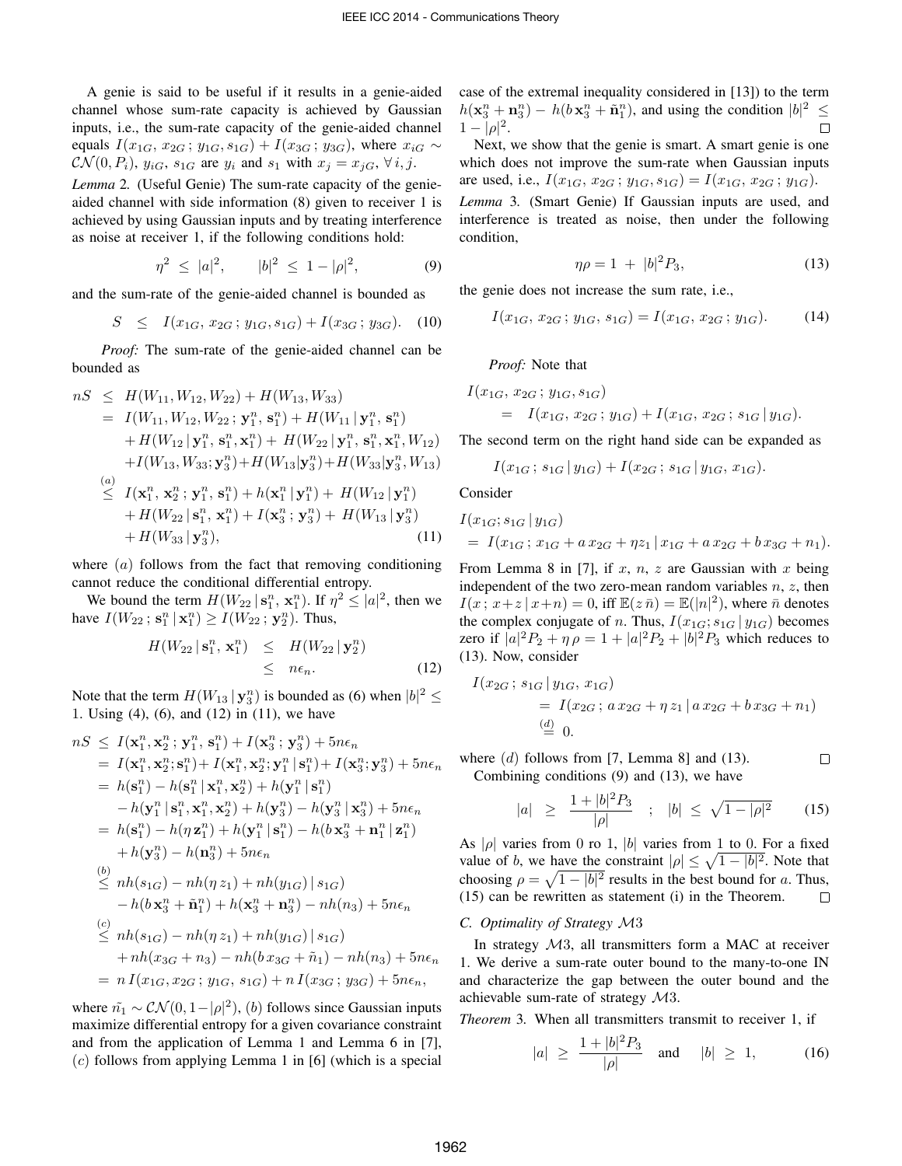A genie is said to be useful if it results in a genie-aided channel whose sum-rate capacity is achieved by Gaussian inputs, i.e., the sum-rate capacity of the genie-aided channel equals  $I(x_{1G}, x_{2G}; y_{1G}, s_{1G}) + I(x_{3G}; y_{3G})$ , where  $x_{iG} \sim$  $\mathcal{CN}(0, P_i)$ ,  $y_{iG}$ ,  $s_{1G}$  are  $y_i$  and  $s_1$  with  $x_j = x_{jG}$ ,  $\forall i, j$ .

*Lemma* 2*.* (Useful Genie) The sum-rate capacity of the genieaided channel with side information (8) given to receiver 1 is achieved by using Gaussian inputs and by treating interference as noise at receiver 1, if the following conditions hold:

$$
\eta^2 \le |a|^2, \qquad |b|^2 \le 1 - |\rho|^2, \tag{9}
$$

and the sum-rate of the genie-aided channel is bounded as

$$
S \leq I(x_{1G}, x_{2G}; y_{1G}, s_{1G}) + I(x_{3G}; y_{3G}). \quad (10)
$$

*Proof:* The sum-rate of the genie-aided channel can be bounded as

$$
nS \leq H(W_{11}, W_{12}, W_{22}) + H(W_{13}, W_{33})
$$
  
\n
$$
= I(W_{11}, W_{12}, W_{22}; \mathbf{y}_1^n, \mathbf{s}_1^n) + H(W_{11} | \mathbf{y}_1^n, \mathbf{s}_1^n)
$$
  
\n
$$
+ H(W_{12} | \mathbf{y}_1^n, \mathbf{s}_1^n, \mathbf{x}_1^n) + H(W_{22} | \mathbf{y}_1^n, \mathbf{s}_1^n, \mathbf{x}_1^n, W_{12})
$$
  
\n
$$
+ I(W_{13}, W_{33}; \mathbf{y}_3^n) + H(W_{13} | \mathbf{y}_3^n) + H(W_{33} | \mathbf{y}_3^n, W_{13})
$$
  
\n(a)  
\n
$$
\leq I(\mathbf{x}_1^n, \mathbf{x}_2^n; \mathbf{y}_1^n, \mathbf{s}_1^n) + h(\mathbf{x}_1^n | \mathbf{y}_1^n) + H(W_{12} | \mathbf{y}_1^n)
$$
  
\n
$$
+ H(W_{22} | \mathbf{s}_1^n, \mathbf{x}_1^n) + I(\mathbf{x}_3^n; \mathbf{y}_3^n) + H(W_{13} | \mathbf{y}_3^n)
$$
  
\n
$$
+ H(W_{33} | \mathbf{y}_3^n), \tag{11}
$$

where  $(a)$  follows from the fact that removing conditioning cannot reduce the conditional differential entropy.

We bound the term  $H(W_{22} | \mathbf{s}_1^n, \mathbf{x}_1^n)$ . If  $\eta^2 \leq |a|^2$ , then we have  $I(W_{22}; s_1^n | x_1^n) \ge I(W_{22}; y_2^n)$ . Thus,

$$
H(W_{22} | \mathbf{s}_1^n, \mathbf{x}_1^n) \leq H(W_{22} | \mathbf{y}_2^n)
$$
  
\$\leq\$  $n\epsilon_n$ . (12)

Note that the term  $H(W_{13} | \mathbf{y}_3^n)$  is bounded as (6) when  $|b|^2 \leq$ 1. Using (4), (6), and (12) in (11), we have

$$
nS \leq I(\mathbf{x}_1^n, \mathbf{x}_2^n; \mathbf{y}_1^n, \mathbf{s}_1^n) + I(\mathbf{x}_3^n; \mathbf{y}_3^n) + 5n\epsilon_n
$$
  
\n
$$
= I(\mathbf{x}_1^n, \mathbf{x}_2^n; \mathbf{s}_1^n) + I(\mathbf{x}_1^n, \mathbf{x}_2^n; \mathbf{y}_1^n | \mathbf{s}_1^n) + I(\mathbf{x}_3^n; \mathbf{y}_3^n) + 5n\epsilon_n
$$
  
\n
$$
= h(\mathbf{s}_1^n) - h(\mathbf{s}_1^n | \mathbf{x}_1^n, \mathbf{x}_2^n) + h(\mathbf{y}_1^n | \mathbf{s}_1^n)
$$
  
\n
$$
-h(\mathbf{y}_1^n | \mathbf{s}_1^n, \mathbf{x}_1^n, \mathbf{x}_2^n) + h(\mathbf{y}_3^n) - h(\mathbf{y}_3^n | \mathbf{x}_3^n) + 5n\epsilon_n
$$
  
\n
$$
= h(\mathbf{s}_1^n) - h(\eta \mathbf{z}_1^n) + h(\mathbf{y}_1^n | \mathbf{s}_1^n) - h(b\mathbf{x}_3^n + \mathbf{n}_1^n | \mathbf{z}_1^n)
$$
  
\n
$$
+ h(\mathbf{y}_3^n) - h(\mathbf{n}_3^n) + 5n\epsilon_n
$$
  
\n(b)\n
$$
\leq nh(s_{1G}) - nh(\eta z_1) + nh(y_{1G}) | s_{1G}
$$
  
\n
$$
-h(b\mathbf{x}_3^n + \tilde{\mathbf{n}}_1^n) + h(\mathbf{x}_3^n + \mathbf{n}_3^n) - nh(n_3) + 5n\epsilon_n
$$
  
\n(c)\n
$$
\leq nh(s_{1G}) - nh(\eta z_1) + nh(y_{1G}) | s_{1G}
$$
  
\n
$$
+ nh(x_{3G} + n_3) - nh(b\,x_{3G} + \tilde{n}_1) - nh(n_3) + 5n\epsilon_n
$$
  
\n
$$
= n I(x_{1G}, x_{2G}; y_{1G}, s_{1G}) + n I(x_{3G}; y_{3G}) + 5n\epsilon_n
$$

where  $\tilde{n_1} \sim \mathcal{CN}(0, 1 - |\rho|^2)$ , (b) follows since Gaussian inputs maximize differential entropy for a given covariance constraint and from the application of Lemma 1 and Lemma 6 in [7],  $(c)$  follows from applying Lemma 1 in [6] (which is a special case of the extremal inequality considered in [13]) to the term  $h(\mathbf{x}_3^n + \mathbf{n}_3^n) - h(b\mathbf{x}_3^n + \tilde{\mathbf{n}}_1^n)$ , and using the condition  $|b|^2 \leq$  $1 - |\rho|^2$ .  $\Box$ 

Next, we show that the genie is smart. A smart genie is one which does not improve the sum-rate when Gaussian inputs are used, i.e.,  $I(x_{1G}, x_{2G}; y_{1G}, s_{1G}) = I(x_{1G}, x_{2G}; y_{1G}).$ 

*Lemma* 3*.* (Smart Genie) If Gaussian inputs are used, and interference is treated as noise, then under the following condition,

$$
\eta \rho = 1 + |b|^2 P_3,\tag{13}
$$

the genie does not increase the sum rate, i.e.,

$$
I(x_{1G}, x_{2G}; y_{1G}, s_{1G}) = I(x_{1G}, x_{2G}; y_{1G}).
$$
 (14)

*Proof:* Note that

$$
I(x_{1G}, x_{2G}; y_{1G}, s_{1G})
$$
  
=  $I(x_{1G}, x_{2G}; y_{1G}) + I(x_{1G}, x_{2G}; s_{1G} | y_{1G}).$ 

The second term on the right hand side can be expanded as

$$
I(x_{1G}\,;\, s_{1G} \,|\, y_{1G}) + I(x_{2G}\,;\, s_{1G} \,|\, y_{1G},\, x_{1G}).
$$

Consider

$$
I(x_{1G}; s_{1G} | y_{1G})
$$
  
=  $I(x_{1G}; x_{1G} + a x_{2G} + \eta z_1 | x_{1G} + a x_{2G} + b x_{3G} + n_1).$ 

From Lemma 8 in [7], if x, n, z are Gaussian with x being independent of the two zero-mean random variables  $n, z$ , then  $I(x, x+z | x+n) = 0$ , iff  $\mathbb{E}(z|\bar{n}) = \mathbb{E}(|n|^2)$ , where  $\bar{n}$  denotes the complex conjugate of n. Thus,  $I(x_{1G}; s_{1G} | y_{1G})$  becomes zero if  $|a|^2 P_2 + \eta \rho = 1 + |a|^2 P_2 + |b|^2 P_3$  which reduces to (13). Now, consider

$$
I(x_{2G}; s_{1G} | y_{1G}, x_{1G})
$$
  
=  $I(x_{2G}; a x_{2G} + \eta z_1 | a x_{2G} + b x_{3G} + n_1)$   
 $\stackrel{\text{(d)}}{=} 0.$ 

where  $(d)$  follows from [7, Lemma 8] and (13).  $\Box$ Combining conditions (9) and (13), we have

$$
|a| \ge \frac{1+|b|^2 P_3}{|\rho|} \quad ; \quad |b| \le \sqrt{1-|\rho|^2} \qquad (15)
$$

As  $|\rho|$  varies from 0 ro 1,  $|b|$  varies from 1 to 0. For a fixed value of b, we have the constraint  $|\rho| \leq \sqrt{1 - |b|^2}$ . Note that choosing  $\rho = \sqrt{1 - |b|^2}$  results in the best bound for a. Thus, (15) can be rewritten as statement (i) in the Theorem.  $\Box$ 

### *C. Optimality of Strategy* M3

In strategy M3, all transmitters form a MAC at receiver 1. We derive a sum-rate outer bound to the many-to-one IN and characterize the gap between the outer bound and the achievable sum-rate of strategy M3.

*Theorem* 3*.* When all transmitters transmit to receiver 1, if

$$
|a| \ge \frac{1+|b|^2 P_3}{|\rho|}
$$
 and  $|b| \ge 1$ , (16)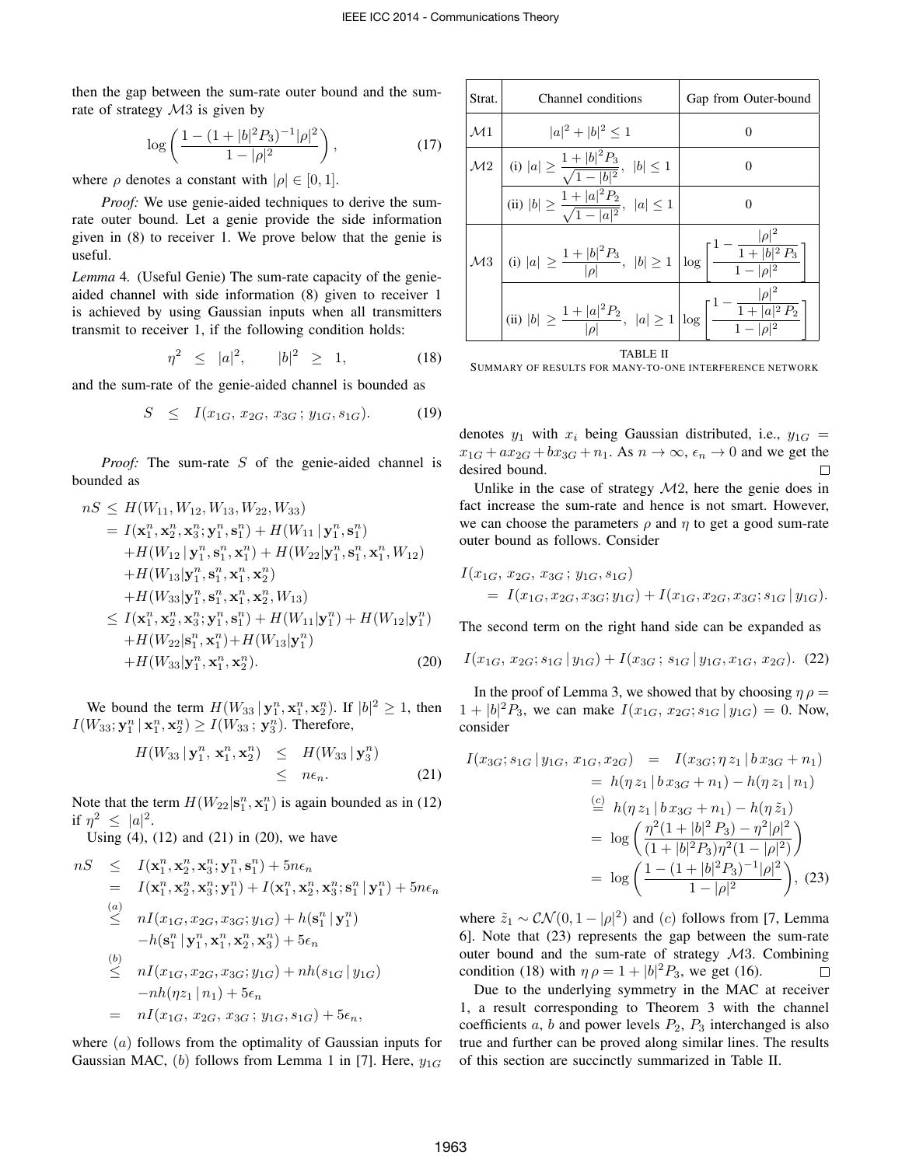then the gap between the sum-rate outer bound and the sumrate of strategy  $\mathcal{M}3$  is given by

$$
\log\left(\frac{1-(1+|b|^2P_3)^{-1}|\rho|^2}{1-|\rho|^2}\right),\tag{17}
$$

where  $\rho$  denotes a constant with  $|\rho| \in [0, 1]$ .

*Proof:* We use genie-aided techniques to derive the sumrate outer bound. Let a genie provide the side information given in (8) to receiver 1. We prove below that the genie is useful.

*Lemma* 4*.* (Useful Genie) The sum-rate capacity of the genieaided channel with side information (8) given to receiver 1 is achieved by using Gaussian inputs when all transmitters transmit to receiver 1, if the following condition holds:

$$
\eta^2 \le |a|^2, \qquad |b|^2 \ge 1, \tag{18}
$$

and the sum-rate of the genie-aided channel is bounded as

$$
S \leq I(x_{1G}, x_{2G}, x_{3G}; y_{1G}, s_{1G}). \tag{19}
$$

*Proof:* The sum-rate S of the genie-aided channel is bounded as

$$
nS \leq H(W_{11}, W_{12}, W_{13}, W_{22}, W_{33})
$$
  
=  $I(\mathbf{x}_1^n, \mathbf{x}_2^n, \mathbf{x}_3^n; \mathbf{y}_1^n, \mathbf{s}_1^n) + H(W_{11} | \mathbf{y}_1^n, \mathbf{s}_1^n)$   
+  $H(W_{12} | \mathbf{y}_1^n, \mathbf{s}_1^n, \mathbf{x}_1^n) + H(W_{22} | \mathbf{y}_1^n, \mathbf{s}_1^n, \mathbf{x}_1^n, W_{12})$   
+  $H(W_{13} | \mathbf{y}_1^n, \mathbf{s}_1^n, \mathbf{x}_1^n, \mathbf{x}_2^n)$   
+  $H(W_{33} | \mathbf{y}_1^n, \mathbf{s}_1^n, \mathbf{x}_1^n, \mathbf{x}_2^n, W_{13})$   
 $\leq I(\mathbf{x}_1^n, \mathbf{x}_2^n, \mathbf{x}_3^n; \mathbf{y}_1^n, \mathbf{s}_1^n) + H(W_{11} | \mathbf{y}_1^n) + H(W_{12} | \mathbf{y}_1^n)$   
+  $H(W_{22} | \mathbf{s}_1^n, \mathbf{x}_1^n, \mathbf{x}_2^n)$ . (20)

We bound the term  $H(W_{33} | \mathbf{y}_1^n, \mathbf{x}_1^n, \mathbf{x}_2^n)$ . If  $|b|^2 \geq 1$ , then  $I(W_{33}; \mathbf{y}_1^n | \mathbf{x}_1^n, \mathbf{x}_2^n) \ge I(W_{33}; \mathbf{y}_3^n)$ . Therefore,

$$
H(W_{33} | \mathbf{y}_1^n, \mathbf{x}_1^n, \mathbf{x}_2^n) \leq H(W_{33} | \mathbf{y}_3^n) \leq n\epsilon_n.
$$
 (21)

Note that the term  $H(W_{22} | s_1^n, \mathbf{x}_1^n)$  is again bounded as in (12) if  $\eta^2 \leq |a|^2$ .

Using (4), (12) and (21) in (20), we have

$$
nS \leq I(\mathbf{x}_1^n, \mathbf{x}_2^n, \mathbf{x}_3^n; \mathbf{y}_1^n, \mathbf{s}_1^n) + 5n\epsilon_n
$$
  
\n
$$
= I(\mathbf{x}_1^n, \mathbf{x}_2^n, \mathbf{x}_3^n; \mathbf{y}_1^n) + I(\mathbf{x}_1^n, \mathbf{x}_2^n, \mathbf{x}_3^n; \mathbf{s}_1^n | \mathbf{y}_1^n) + 5n\epsilon_n
$$
  
\n(a)  
\n
$$
\leq nI(x_{1G}, x_{2G}, x_{3G}; y_{1G}) + h(\mathbf{s}_1^n | \mathbf{y}_1^n)
$$
  
\n
$$
-h(\mathbf{s}_1^n | \mathbf{y}_1^n, \mathbf{x}_1^n, \mathbf{x}_2^n, \mathbf{x}_3^n) + 5\epsilon_n
$$
  
\n(b)  
\n
$$
\leq nI(x_{1G}, x_{2G}, x_{3G}; y_{1G}) + nh(s_{1G} | y_{1G})
$$
  
\n
$$
-nh(\eta z_1 | n_1) + 5\epsilon_n
$$
  
\n
$$
= nI(x_{1G}, x_{2G}, x_{3G}; y_{1G}, s_{1G}) + 5\epsilon_n,
$$

where  $(a)$  follows from the optimality of Gaussian inputs for Gaussian MAC, (b) follows from Lemma 1 in [7]. Here,  $y_{1G}$ 

| Strat.         | Channel conditions                                                                                                                                                | Gap from Outer-bound |
|----------------|-------------------------------------------------------------------------------------------------------------------------------------------------------------------|----------------------|
| $\mathcal{M}1$ | $ a ^2 +  b ^2 \leq 1$                                                                                                                                            | 0                    |
| $\mathcal{M}2$ | (i) $ a  \ge \frac{1+ b ^2 P_3}{\sqrt{1- b ^2}}, \quad  b  \le 1$                                                                                                 | 0                    |
|                | (ii) $ b  \ge \frac{1+ a ^2 P_2}{\sqrt{1- a ^2}},  a  \le 1$                                                                                                      | 0                    |
|                | $\mathcal{M}3$ $\left  (i)  a  \ge \frac{1+ b ^2 P_3}{ \rho },  b  \ge 1 \right  \log \left\lceil \frac{1-\frac{ \rho ^2}{1+ b ^2 P_3}}{1- \rho ^2} \right\rceil$ |                      |
|                | (ii) $ b  \ge \frac{1+ a ^2 P_2}{ \rho }$ , $ a  \ge 1 \left  \log \left( \frac{1-\frac{ \rho ^2}{1+ a ^2 P_2}}{1- a ^2} \right) \right $                         |                      |
| TABLE II       |                                                                                                                                                                   |                      |

SUMMARY OF RESULTS FOR MANY-TO-ONE INTERFERENCE NETWORK

denotes  $y_1$  with  $x_i$  being Gaussian distributed, i.e.,  $y_{1G}$  =  $x_{1G} + ax_{2G} + bx_{3G} + n_1$ . As  $n \to \infty$ ,  $\epsilon_n \to 0$  and we get the desired bound. Г

Unlike in the case of strategy  $\mathcal{M}2$ , here the genie does in fact increase the sum-rate and hence is not smart. However, we can choose the parameters  $\rho$  and  $\eta$  to get a good sum-rate outer bound as follows. Consider

$$
I(x_{1G}, x_{2G}, x_{3G}; y_{1G}, s_{1G})
$$
  
=  $I(x_{1G}, x_{2G}, x_{3G}; y_{1G}) + I(x_{1G}, x_{2G}, x_{3G}; s_{1G} | y_{1G}).$ 

The second term on the right hand side can be expanded as

$$
I(x_{1G}, x_{2G}; s_{1G} | y_{1G}) + I(x_{3G}; s_{1G} | y_{1G}, x_{1G}, x_{2G}).
$$
 (22)

In the proof of Lemma 3, we showed that by choosing  $\eta \rho =$  $1+|b|^2P_3$ , we can make  $I(x_{1G}, x_{2G}; s_{1G} | y_{1G}) = 0$ . Now, consider

$$
I(x_{3G}; s_{1G} | y_{1G}, x_{1G}, x_{2G}) = I(x_{3G}; \eta z_1 | b x_{3G} + n_1)
$$
  
\n
$$
= h(\eta z_1 | b x_{3G} + n_1) - h(\eta z_1 | n_1)
$$
  
\n
$$
\stackrel{(c)}{=} h(\eta z_1 | b x_{3G} + n_1) - h(\eta \tilde{z}_1)
$$
  
\n
$$
= \log \left( \frac{\eta^2 (1 + |b|^2 P_3) - \eta^2 |\rho|^2}{(1 + |b|^2 P_3)\eta^2 (1 - |\rho|^2)} \right)
$$
  
\n
$$
= \log \left( \frac{1 - (1 + |b|^2 P_3)^{-1} |\rho|^2}{1 - |\rho|^2} \right), (23)
$$

where  $\tilde{z}_1 \sim \mathcal{CN}(0, 1 - |\rho|^2)$  and (*c*) follows from [7, Lemma 6]. Note that (23) represents the gap between the sum-rate outer bound and the sum-rate of strategy M3. Combining condition (18) with  $\eta \rho = 1 + |b|^2 P_3$ , we get (16).  $\Box$ 

Due to the underlying symmetry in the MAC at receiver 1, a result corresponding to Theorem 3 with the channel coefficients  $a$ ,  $b$  and power levels  $P_2$ ,  $P_3$  interchanged is also true and further can be proved along similar lines. The results of this section are succinctly summarized in Table II.